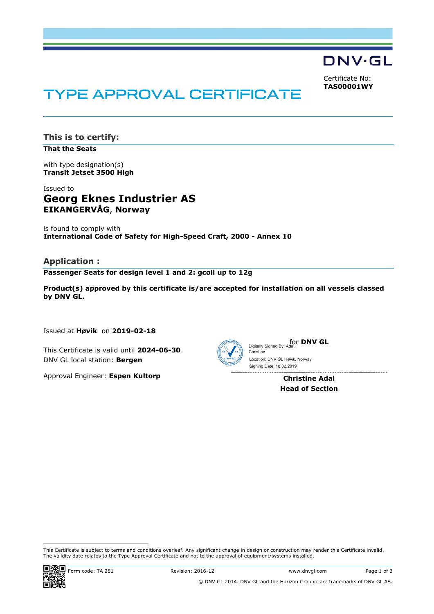

Certificate No: **TAS00001WY**

# **TYPE APPROVAL CERTIFICATE**

**This is to certify:**

**That the Seats**

with type designation(s) **Transit Jetset 3500 High**

# Issued to **Georg Eknes Industrier AS EIKANGERVÅG**, **Norway**

is found to comply with **International Code of Safety for High-Speed Craft, 2000 - Annex 10**

# **Application :**

**Passenger Seats for design level 1 and 2: gcoll up to 12g**

**Product(s) approved by this certificate is/are accepted for installation on all vessels classed by DNV GL.**

Issued at **Høvik** on **2019-02-18**

This Certificate is valid until **2024-06-30**. DNV GL local station: **Bergen**

Approval Engineer: **Espen Kultorp**



Christine

for **DNV GL** Digitally Signed By: Adal,

Location: DNV GL Høvik, Norway

**Christine Adal Head of Section** Signing Date: 18.02.2019

 This Certificate is subject to terms and conditions overleaf. Any significant change in design or construction may render this Certificate invalid. The validity date relates to the Type Approval Certificate and not to the approval of equipment/systems installed.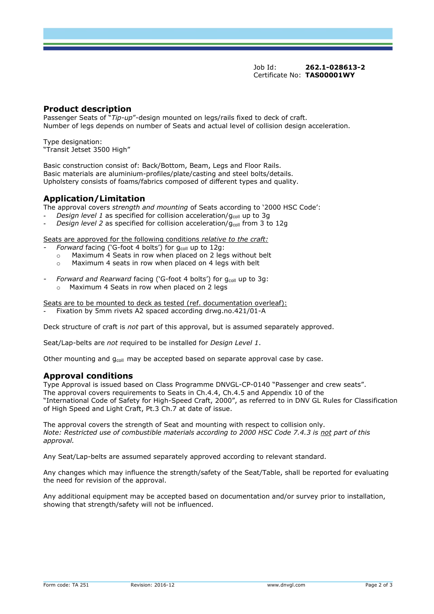Job Id: **262.1-028613-2** Certificate No: **TAS00001WY**

## **Product description**

Passenger Seats of "*Tip-up*"-design mounted on legs/rails fixed to deck of craft. Number of legs depends on number of Seats and actual level of collision design acceleration.

Type designation: "Transit Jetset 3500 High"

Basic construction consist of: Back/Bottom, Beam, Legs and Floor Rails. Basic materials are aluminium-profiles/plate/casting and steel bolts/details. Upholstery consists of foams/fabrics composed of different types and quality.

# **Application/Limitation**

The approval covers *strength and mounting* of Seats according to '2000 HSC Code':

- *Design level 1* as specified for collision acceleration/g<sub>coll</sub> up to 3g
- *Design level 2* as specified for collision acceleration/g<sub>coll</sub> from 3 to 12g

Seats are approved for the following conditions *relative to the craft:*

- *Forward* facing ('G-foot 4 bolts') for g<sub>coll</sub> up to 12g:
- o Maximum 4 Seats in row when placed on 2 legs without belt
- o Maximum 4 seats in row when placed on 4 legs with belt

*Forward and Rearward facing ('G-foot 4 bolts') for g<sub>coll</sub> up to 3g:* 

o Maximum 4 Seats in row when placed on 2 legs

Seats are to be mounted to deck as tested (ref. documentation overleaf):

*-* Fixation by 5mm rivets A2 spaced according drwg.no.421/01-A

Deck structure of craft is *not* part of this approval, but is assumed separately approved.

Seat/Lap-belts are *not* required to be installed for *Design Level 1*.

Other mounting and  $g_{coll}$  may be accepted based on separate approval case by case.

#### **Approval conditions**

Type Approval is issued based on Class Programme DNVGL-CP-0140 "Passenger and crew seats". The approval covers requirements to Seats in Ch.4.4, Ch.4.5 and Appendix 10 of the "International Code of Safety for High-Speed Craft, 2000", as referred to in DNV GL Rules for Classification of High Speed and Light Craft, Pt.3 Ch.7 at date of issue.

The approval covers the strength of Seat and mounting with respect to collision only. *Note: Restricted use of combustible materials according to 2000 HSC Code 7.4.3 is not part of this approval.*

Any Seat/Lap-belts are assumed separately approved according to relevant standard.

Any changes which may influence the strength/safety of the Seat/Table, shall be reported for evaluating the need for revision of the approval.

Any additional equipment may be accepted based on documentation and/or survey prior to installation, showing that strength/safety will not be influenced.